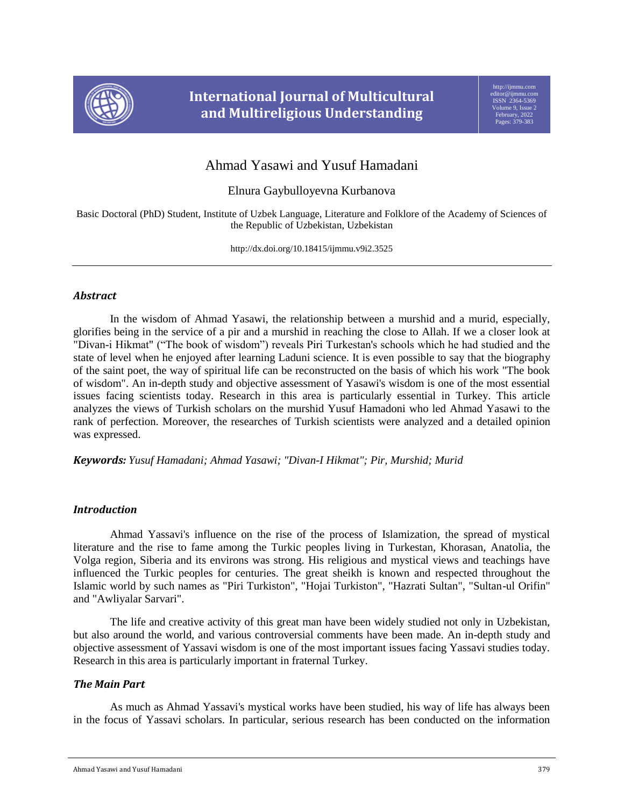

# Ahmad Yasawi and Yusuf Hamadani

Elnura Gaybulloyevna Kurbanova

Basic Doctoral (PhD) Student, Institute of Uzbek Language, Literature and Folklore of the Academy of Sciences of the Republic of Uzbekistan, Uzbekistan

http://dx.doi.org/10.18415/ijmmu.v9i2.3525

## *Abstract*

In the wisdom of Ahmad Yasawi, the relationship between a murshid and a murid, especially, glorifies being in the service of a pir and a murshid in reaching the close to Allah. If we a closer look at "Divan-i Hikmat" ("The book of wisdom") reveals Piri Turkestan's schools which he had studied and the state of level when he enjoyed after learning Laduni science. It is even possible to say that the biography of the saint poet, the way of spiritual life can be reconstructed on the basis of which his work "The book of wisdom". An in-depth study and objective assessment of Yasawi's wisdom is one of the most essential issues facing scientists today. Research in this area is particularly essential in Turkey. This article analyzes the views of Turkish scholars on the murshid Yusuf Hamadoni who led Ahmad Yasawi to the rank of perfection. Moreover, the researches of Turkish scientists were analyzed and a detailed opinion was expressed.

*Keywords: Yusuf Hamadani; Ahmad Yasawi; "Divan-I Hikmat"; Pir, Murshid; Murid*

# *Introduction*

Ahmad Yassavi's influence on the rise of the process of Islamization, the spread of mystical literature and the rise to fame among the Turkic peoples living in Turkestan, Khorasan, Anatolia, the Volga region, Siberia and its environs was strong. His religious and mystical views and teachings have influenced the Turkic peoples for centuries. The great sheikh is known and respected throughout the Islamic world by such names as "Piri Turkiston", "Hojai Turkiston", "Hazrati Sultan", "Sultan-ul Orifin" and "Awliyalar Sarvari".

The life and creative activity of this great man have been widely studied not only in Uzbekistan, but also around the world, and various controversial comments have been made. An in-depth study and objective assessment of Yassavi wisdom is one of the most important issues facing Yassavi studies today. Research in this area is particularly important in fraternal Turkey.

# *The Main Part*

As much as Ahmad Yassavi's mystical works have been studied, his way of life has always been in the focus of Yassavi scholars. In particular, serious research has been conducted on the information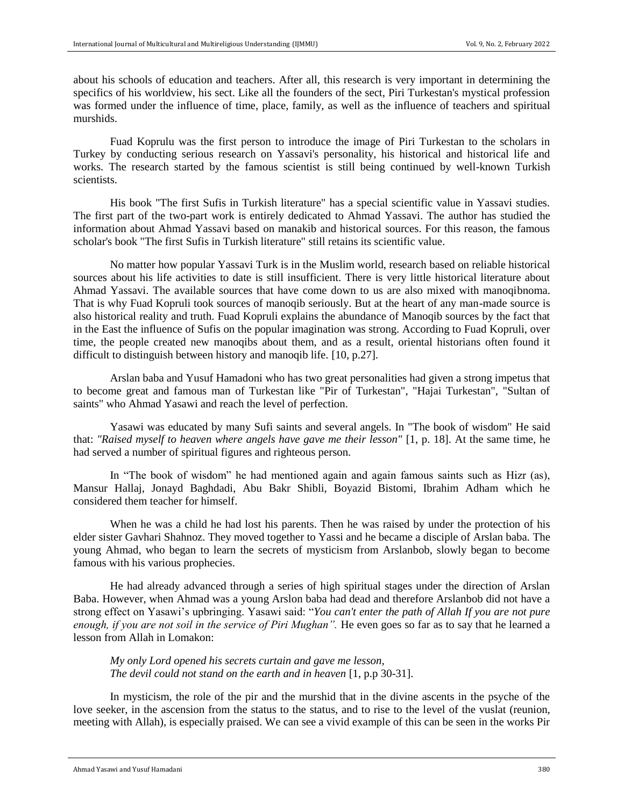about his schools of education and teachers. After all, this research is very important in determining the specifics of his worldview, his sect. Like all the founders of the sect, Piri Turkestan's mystical profession was formed under the influence of time, place, family, as well as the influence of teachers and spiritual murshids.

Fuad Koprulu was the first person to introduce the image of Piri Turkestan to the scholars in Turkey by conducting serious research on Yassavi's personality, his historical and historical life and works. The research started by the famous scientist is still being continued by well-known Turkish scientists.

His book "The first Sufis in Turkish literature" has a special scientific value in Yassavi studies. The first part of the two-part work is entirely dedicated to Ahmad Yassavi. The author has studied the information about Ahmad Yassavi based on manakib and historical sources. For this reason, the famous scholar's book "The first Sufis in Turkish literature" still retains its scientific value.

No matter how popular Yassavi Turk is in the Muslim world, research based on reliable historical sources about his life activities to date is still insufficient. There is very little historical literature about Ahmad Yassavi. The available sources that have come down to us are also mixed with manoqibnoma. That is why Fuad Kopruli took sources of manoqib seriously. But at the heart of any man-made source is also historical reality and truth. Fuad Kopruli explains the abundance of Manoqib sources by the fact that in the East the influence of Sufis on the popular imagination was strong. According to Fuad Kopruli, over time, the people created new manoqibs about them, and as a result, oriental historians often found it difficult to distinguish between history and manoqib life. [10, p.27].

Arslan baba and Yusuf Hamadoni who has two great personalities had given a strong impetus that to become great and famous man of Turkestan like "Pir of Turkestan", "Hajai Turkestan", "Sultan of saints" who Ahmad Yasawi and reach the level of perfection.

Yasawi was educated by many Sufi saints and several angels. In "The book of wisdom" He said that: *"Raised myself to heaven where angels have gave me their lesson"* [1, p. 18]. At the same time, he had served a number of spiritual figures and righteous person.

In "The book of wisdom" he had mentioned again and again famous saints such as Hizr (as), Mansur Hallaj, Jonayd Baghdadi, Abu Bakr Shibli, Boyazid Bistomi, Ibrahim Adham which he considered them teacher for himself.

When he was a child he had lost his parents. Then he was raised by under the protection of his elder sister Gavhari Shahnoz. They moved together to Yassi and he became a disciple of Arslan baba. The young Ahmad, who began to learn the secrets of mysticism from Arslanbob, slowly began to become famous with his various prophecies.

He had already advanced through a series of high spiritual stages under the direction of Arslan Baba. However, when Ahmad was a young Arslon baba had dead and therefore Arslanbob did not have a strong effect on Yasawi's upbringing. Yasawi said: "*You can't enter the path of Allah If you are not pure enough, if you are not soil in the service of Piri Mughan".* He even goes so far as to say that he learned a lesson from Allah in Lomakon:

*My only Lord opened his secrets curtain and gave me lesson, The devil could not stand on the earth and in heaven* [1, p.p 30-31].

In mysticism, the role of the pir and the murshid that in the divine ascents in the psyche of the love seeker, in the ascension from the status to the status, and to rise to the level of the vuslat (reunion, meeting with Allah), is especially praised. We can see a vivid example of this can be seen in the works Pir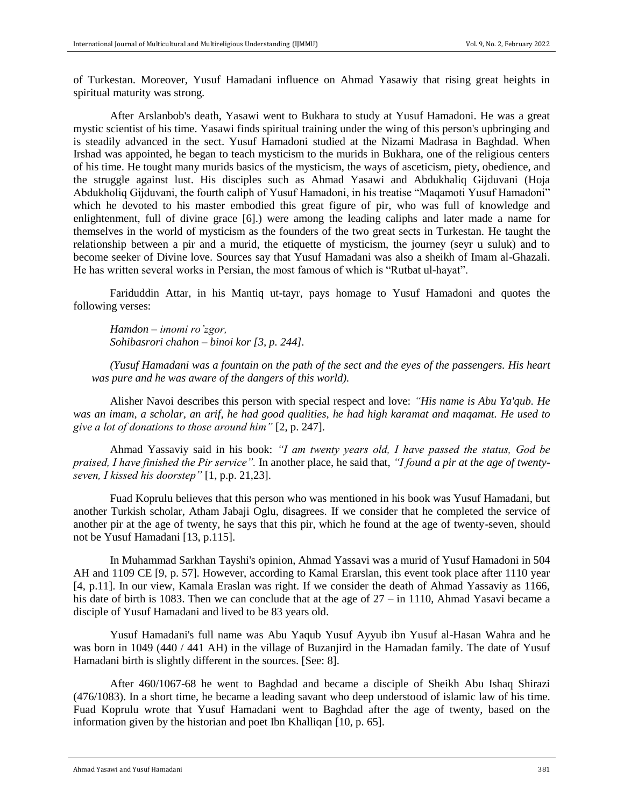of Turkestan. Moreover, Yusuf Hamadani influence on Ahmad Yasawiy that rising great heights in spiritual maturity was strong.

After Arslanbob's death, Yasawi went to Bukhara to study at Yusuf Hamadoni. He was a great mystic scientist of his time. Yasawi finds spiritual training under the wing of this person's upbringing and is steadily advanced in the sect. Yusuf Hamadoni studied at the Nizami Madrasa in Baghdad. When Irshad was appointed, he began to teach mysticism to the murids in Bukhara, one of the religious centers of his time. He tought many murids basics of the mysticism, the ways of asceticism, piety, obedience, and the struggle against lust. His disciples such as Ahmad Yasawi and Abdukhaliq Gijduvani (Hoja Abdukholiq Gijduvani, the fourth caliph of Yusuf Hamadoni, in his treatise "Maqamoti Yusuf Hamadoni" which he devoted to his master embodied this great figure of pir, who was full of knowledge and enlightenment, full of divine grace [6].) were among the leading caliphs and later made a name for themselves in the world of mysticism as the founders of the two great sects in Turkestan. He taught the relationship between a pir and a murid, the etiquette of mysticism, the journey (seyr u suluk) and to become seeker of Divine love. Sources say that Yusuf Hamadani was also a sheikh of Imam al-Ghazali. He has written several works in Persian, the most famous of which is "Rutbat ul-hayat".

Fariduddin Attar, in his Mantiq ut-tayr, pays homage to Yusuf Hamadoni and quotes the following verses:

*Hamdon – imomi ro'zgor, Sohibasrori chahon – binoi kor [3, p. 244].*

*(Yusuf Hamadani was a fountain on the path of the sect and the eyes of the passengers. His heart was pure and he was aware of the dangers of this world).*

Alisher Navoi describes this person with special respect and love: *"His name is Abu Ya'qub. He was an imam, a scholar, an arif, he had good qualities, he had high karamat and maqamat. He used to give a lot of donations to those around him"* [2, p. 247].

Ahmad Yassaviy said in his book: *"I am twenty years old, I have passed the status, God be praised, I have finished the Pir service".* In another place, he said that, *"I found a pir at the age of twentyseven, I kissed his doorstep"* [1, p.p. 21,23].

Fuad Koprulu believes that this person who was mentioned in his book was Yusuf Hamadani, but another Turkish scholar, Atham Jabaji Oglu, disagrees. If we consider that he completed the service of another pir at the age of twenty, he says that this pir, which he found at the age of twenty-seven, should not be Yusuf Hamadani [13, p.115].

In Muhammad Sarkhan Tayshi's opinion, Ahmad Yassavi was a murid of Yusuf Hamadoni in 504 AH and 1109 CE [9, p. 57]. However, according to Kamal Erarslan, this event took place after 1110 year [4, p.11]. In our view, Kamala Eraslan was right. If we consider the death of Ahmad Yassaviy as 1166, his date of birth is 1083. Then we can conclude that at the age of 27 – in 1110, Ahmad Yasavi became a disciple of Yusuf Hamadani and lived to be 83 years old.

Yusuf Hamadani's full name was Abu Yaqub Yusuf Ayyub ibn Yusuf al-Hasan Wahra and he was born in 1049 (440 / 441 AH) in the village of Buzanjird in the Hamadan family. The date of Yusuf Hamadani birth is slightly different in the sources. [See: 8].

After 460/1067-68 he went to Baghdad and became a disciple of Sheikh Abu Ishaq Shirazi (476/1083). In a short time, he became a leading savant who deep understood of islamic law of his time. Fuad Koprulu wrote that Yusuf Hamadani went to Baghdad after the age of twenty, based on the information given by the historian and poet Ibn Khalliqan [10, p. 65].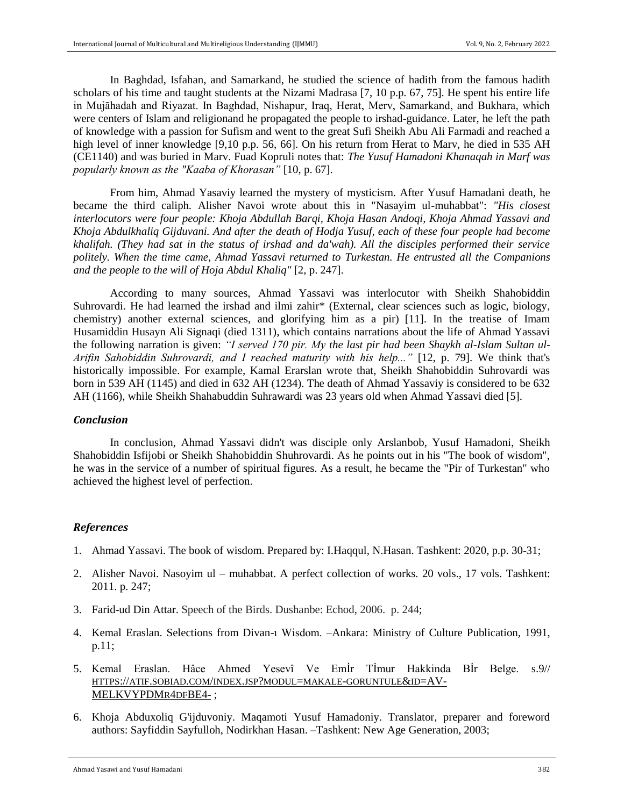In Baghdad, Isfahan, and Samarkand, he studied the science of hadith from the famous hadith scholars of his time and taught students at the Nizami Madrasa [7, 10 p.p. 67, 75]. He spent his entire life in Mujāhadah and Riyazat. In Baghdad, Nishapur, Iraq, Herat, Merv, Samarkand, and Bukhara, which were centers of Islam and religionand he propagated the people to irshad-guidance. Later, he left the path of knowledge with a passion for Sufism and went to the great Sufi Sheikh Abu Ali Farmadi and reached a high level of inner knowledge [9,10 p.p. 56, 66]. On his return from Herat to Marv, he died in 535 AH (CE1140) and was buried in Marv. Fuad Kopruli notes that: *The Yusuf Hamadoni Khanaqah in Marf was popularly known as the "Kaaba of Khorasan"* [10, p. 67].

From him, Ahmad Yasaviy learned the mystery of mysticism. After Yusuf Hamadani death, he became the third caliph. Alisher Navoi wrote about this in "Nasayim ul-muhabbat": *"His closest interlocutors were four people: Khoja Abdullah Barqi, Khoja Hasan Andoqi, Khoja Ahmad Yassavi and Khoja Abdulkhaliq Gijduvani. And after the death of Hodja Yusuf, each of these four people had become khalifah. (They had sat in the status of irshad and da'wah). All the disciples performed their service politely. When the time came, Ahmad Yassavi returned to Turkestan. He entrusted all the Companions and the people to the will of Hoja Abdul Khaliq"* [2, p. 247].

According to many sources, Ahmad Yassavi was interlocutor with Sheikh Shahobiddin Suhrovardi. He had learned the irshad and ilmi zahir\* (External, clear sciences such as logic, biology, chemistry) another external sciences, and glorifying him as a pir) [11]. In the treatise of Imam Husamiddin Husayn Ali Signaqi (died 1311), which contains narrations about the life of Ahmad Yassavi the following narration is given: *"I served 170 pir. My the last pir had been Shaykh al-Islam Sultan ul-Arifin Sahobiddin Suhrovardi, and I reached maturity with his help..."* [12, p. 79]. We think that's historically impossible. For example, Kamal Erarslan wrote that, Sheikh Shahobiddin Suhrovardi was born in 539 AH (1145) and died in 632 AH (1234). The death of Ahmad Yassaviy is considered to be 632 AH (1166), while Sheikh Shahabuddin Suhrawardi was 23 years old when Ahmad Yassavi died [5].

#### *Conclusion*

In conclusion, Ahmad Yassavi didn't was disciple only Arslanbob, Yusuf Hamadoni, Sheikh Shahobiddin Isfijobi or Sheikh Shahobiddin Shuhrovardi. As he points out in his "The book of wisdom", he was in the service of a number of spiritual figures. As a result, he became the "Pir of Turkestan" who achieved the highest level of perfection.

#### *References*

- 1. Ahmad Yassavi. The book of wisdom. Prepared by: I.Haqqul, N.Hasan. Tashkent: 2020, p.p. 30-31;
- 2. Alisher Navoi. Nasoyim ul muhabbat. A perfect collection of works. 20 vols., 17 vols. Tashkent: 2011. p. 247;
- 3. Farid-ud Din Attar. Speech of the Birds. Dushanbe: Echod, 2006. p. 244;
- 4. Kemal Eraslan. Selections from Divan-ı Wisdom. –Ankara: Ministry of Culture Publication, 1991, p.11;
- 5. Kemal Eraslan. Hâce Ahmed Yesevî Ve Emİr Tİmur Hakkinda Bİr Belge. s.9// HTTPS://ATIF.SOBIAD.COM/INDEX.JSP?MODUL=MAKALE-[GORUNTULE](https://atif.sobiad.com/index.jsp?modul=makale-goruntule&id=AV-MELKVYPDMr4dfBE4-)&ID=AV-[MELKVYPDM](https://atif.sobiad.com/index.jsp?modul=makale-goruntule&id=AV-MELKVYPDMr4dfBE4-)R4DFBE4- ;
- 6. Khoja Abduxoliq G'ijduvoniy. Maqamoti Yusuf Hamadoniy. Translator, preparer and foreword authors: Sayfiddin Sayfulloh, Nodirkhan Hasan. –Tashkent: New Age Generation, 2003;